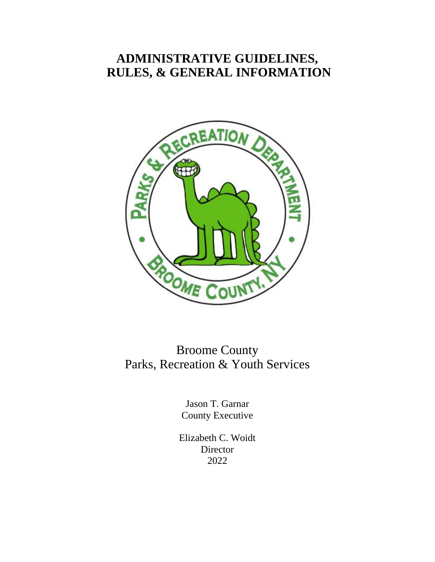# **ADMINISTRATIVE GUIDELINES, RULES, & GENERAL INFORMATION**



Broome County Parks, Recreation & Youth Services

> Jason T. Garnar County Executive

Elizabeth C. Woidt Director 2022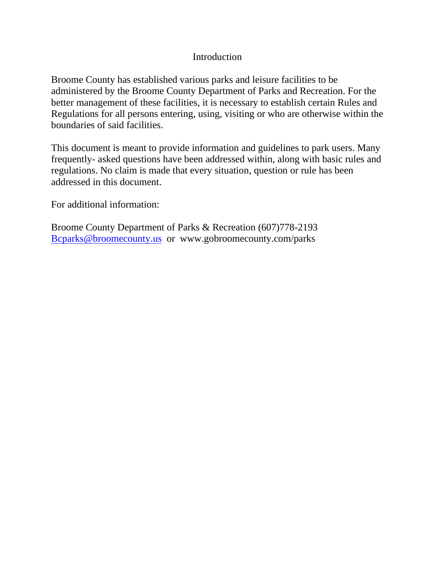# Introduction

Broome County has established various parks and leisure facilities to be administered by the Broome County Department of Parks and Recreation. For the better management of these facilities, it is necessary to establish certain Rules and Regulations for all persons entering, using, visiting or who are otherwise within the boundaries of said facilities.

This document is meant to provide information and guidelines to park users. Many frequently- asked questions have been addressed within, along with basic rules and regulations. No claim is made that every situation, question or rule has been addressed in this document.

For additional information:

Broome County Department of Parks & Recreation (607)778-2193 [Bcparks@broomecounty.us](mailto:Bcparks@broomecounty.us) or www.gobroomecounty.com/parks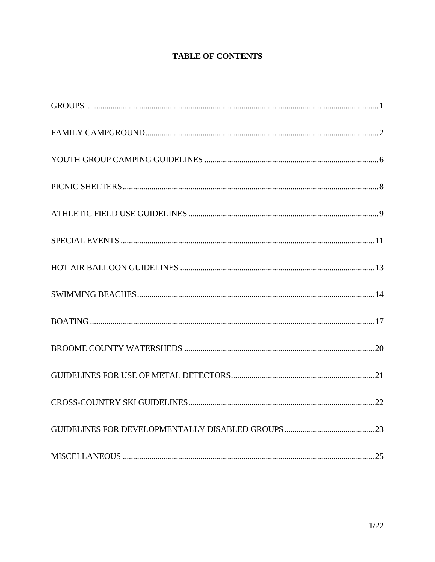# **TABLE OF CONTENTS**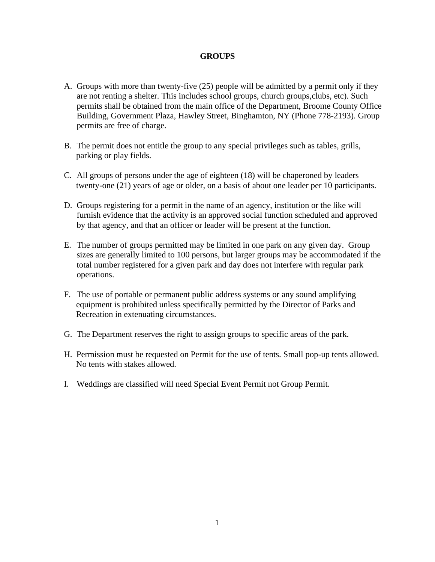# **GROUPS**

- A. Groups with more than twenty-five (25) people will be admitted by a permit only if they are not renting a shelter. This includes school groups, church groups,clubs, etc). Such permits shall be obtained from the main office of the Department, Broome County Office Building, Government Plaza, Hawley Street, Binghamton, NY (Phone 778-2193). Group permits are free of charge.
- B. The permit does not entitle the group to any special privileges such as tables, grills, parking or play fields.
- C. All groups of persons under the age of eighteen (18) will be chaperoned by leaders twenty-one (21) years of age or older, on a basis of about one leader per 10 participants.
- D. Groups registering for a permit in the name of an agency, institution or the like will furnish evidence that the activity is an approved social function scheduled and approved by that agency, and that an officer or leader will be present at the function.
- E. The number of groups permitted may be limited in one park on any given day. Group sizes are generally limited to 100 persons, but larger groups may be accommodated if the total number registered for a given park and day does not interfere with regular park operations.
- F. The use of portable or permanent public address systems or any sound amplifying equipment is prohibited unless specifically permitted by the Director of Parks and Recreation in extenuating circumstances.
- G. The Department reserves the right to assign groups to specific areas of the park.
- H. Permission must be requested on Permit for the use of tents. Small pop-up tents allowed. No tents with stakes allowed.
- I. Weddings are classified will need Special Event Permit not Group Permit.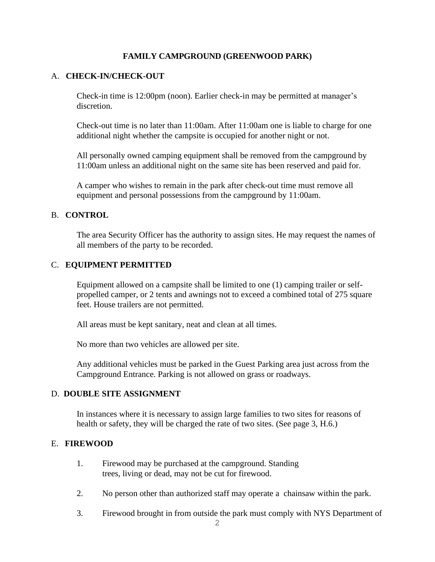# **FAMILY CAMPGROUND (GREENWOOD PARK)**

# A. **CHECK-IN/CHECK-OUT**

Check-in time is 12:00pm (noon). Earlier check-in may be permitted at manager's discretion.

Check-out time is no later than 11:00am. After 11:00am one is liable to charge for one additional night whether the campsite is occupied for another night or not.

All personally owned camping equipment shall be removed from the campground by 11:00am unless an additional night on the same site has been reserved and paid for.

A camper who wishes to remain in the park after check-out time must remove all equipment and personal possessions from the campground by 11:00am.

### B. **CONTROL**

The area Security Officer has the authority to assign sites. He may request the names of all members of the party to be recorded.

### C. **EQUIPMENT PERMITTED**

Equipment allowed on a campsite shall be limited to one (1) camping trailer or selfpropelled camper, or 2 tents and awnings not to exceed a combined total of 275 square feet. House trailers are not permitted.

All areas must be kept sanitary, neat and clean at all times.

No more than two vehicles are allowed per site.

Any additional vehicles must be parked in the Guest Parking area just across from the Campground Entrance. Parking is not allowed on grass or roadways.

### D. **DOUBLE SITE ASSIGNMENT**

In instances where it is necessary to assign large families to two sites for reasons of health or safety, they will be charged the rate of two sites. (See page 3, H.6.)

### E. **FIREWOOD**

- 1. Firewood may be purchased at the campground. Standing trees, living or dead, may not be cut for firewood.
- 2. No person other than authorized staff may operate a chainsaw within the park.
- 3. Firewood brought in from outside the park must comply with NYS Department of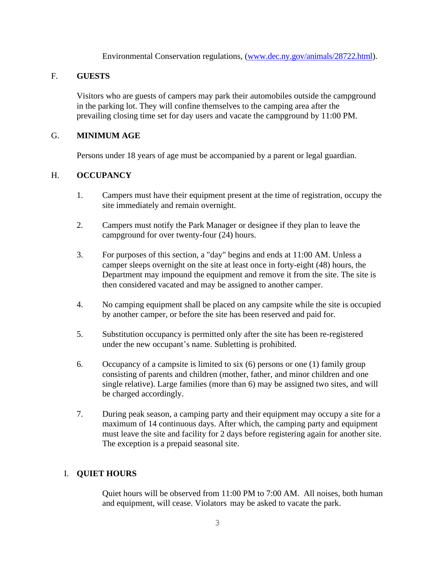Environmental Conservation regulations, [\(www.dec.ny.gov/animals/28722.html\)](http://www.dec.ny.gov/animals/28722.html).

# F. **GUESTS**

Visitors who are guests of campers may park their automobiles outside the campground in the parking lot. They will confine themselves to the camping area after the prevailing closing time set for day users and vacate the campground by 11:00 PM.

# G. **MINIMUM AGE**

Persons under 18 years of age must be accompanied by a parent or legal guardian.

# H. **OCCUPANCY**

- 1. Campers must have their equipment present at the time of registration, occupy the site immediately and remain overnight.
- 2. Campers must notify the Park Manager or designee if they plan to leave the campground for over twenty-four (24) hours.
- 3. For purposes of this section, a "day" begins and ends at 11:00 AM. Unless a camper sleeps overnight on the site at least once in forty-eight (48) hours, the Department may impound the equipment and remove it from the site. The site is then considered vacated and may be assigned to another camper.
- 4. No camping equipment shall be placed on any campsite while the site is occupied by another camper, or before the site has been reserved and paid for.
- 5. Substitution occupancy is permitted only after the site has been re-registered under the new occupant's name. Subletting is prohibited.
- 6. Occupancy of a campsite is limited to six (6) persons or one (1) family group consisting of parents and children (mother, father, and minor children and one single relative). Large families (more than 6) may be assigned two sites, and will be charged accordingly.
- 7. During peak season, a camping party and their equipment may occupy a site for a maximum of 14 continuous days. After which, the camping party and equipment must leave the site and facility for 2 days before registering again for another site. The exception is a prepaid seasonal site.

### I. **QUIET HOURS**

Quiet hours will be observed from 11:00 PM to 7:00 AM. All noises, both human and equipment, will cease. Violators may be asked to vacate the park.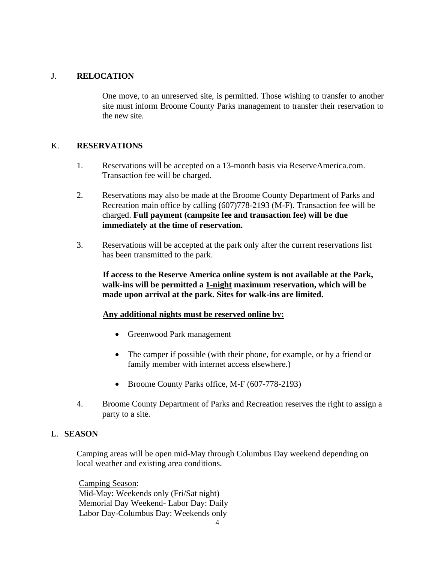#### J. **RELOCATION**

One move, to an unreserved site, is permitted. Those wishing to transfer to another site must inform Broome County Parks management to transfer their reservation to the new site.

# K. **RESERVATIONS**

- 1. Reservations will be accepted on a 13-month basis via ReserveAmerica.com. Transaction fee will be charged.
- 2. Reservations may also be made at the Broome County Department of Parks and Recreation main office by calling (607)778-2193 (M-F). Transaction fee will be charged. **Full payment (campsite fee and transaction fee) will be due immediately at the time of reservation.**
- 3. Reservations will be accepted at the park only after the current reservations list has been transmitted to the park.

**If access to the Reserve America online system is not available at the Park, walk-ins will be permitted a 1-night maximum reservation, which will be made upon arrival at the park. Sites for walk-ins are limited.**

### **Any additional nights must be reserved online by:**

- Greenwood Park management
- The camper if possible (with their phone, for example, or by a friend or family member with internet access elsewhere.)
- Broome County Parks office, M-F (607-778-2193)
- 4. Broome County Department of Parks and Recreation reserves the right to assign a party to a site.

#### L. **SEASON**

Camping areas will be open mid-May through Columbus Day weekend depending on local weather and existing area conditions.

Camping Season: Mid-May: Weekends only (Fri/Sat night) Memorial Day Weekend- Labor Day: Daily Labor Day-Columbus Day: Weekends only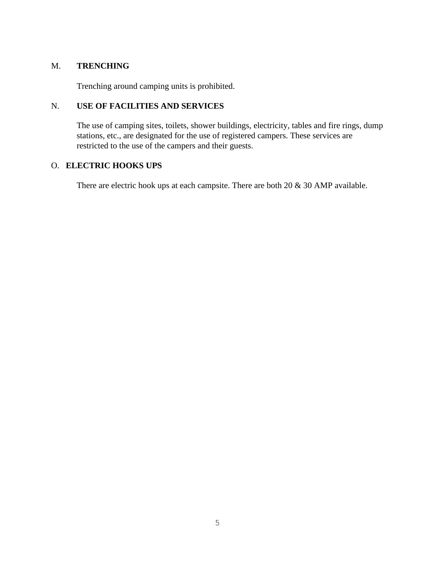# M. **TRENCHING**

Trenching around camping units is prohibited.

# N. **USE OF FACILITIES AND SERVICES**

The use of camping sites, toilets, shower buildings, electricity, tables and fire rings, dump stations, etc., are designated for the use of registered campers. These services are restricted to the use of the campers and their guests.

# O. **ELECTRIC HOOKS UPS**

There are electric hook ups at each campsite. There are both 20 & 30 AMP available.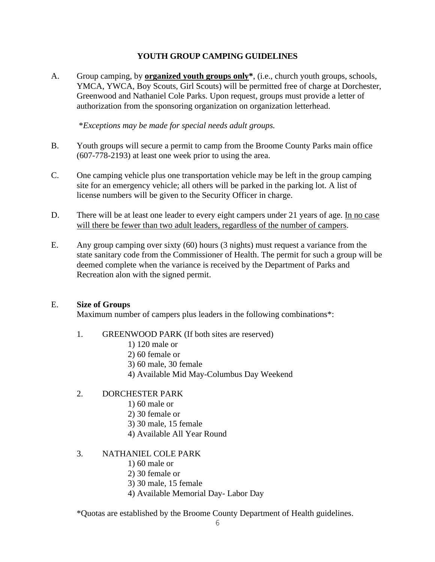# **YOUTH GROUP CAMPING GUIDELINES**

A. Group camping, by **organized youth groups only\***, (i.e., church youth groups, schools, YMCA, YWCA, Boy Scouts, Girl Scouts) will be permitted free of charge at Dorchester, Greenwood and Nathaniel Cole Parks. Upon request, groups must provide a letter of authorization from the sponsoring organization on organization letterhead.

\**Exceptions may be made for special needs adult groups.*

- B. Youth groups will secure a permit to camp from the Broome County Parks main office (607-778-2193) at least one week prior to using the area.
- C. One camping vehicle plus one transportation vehicle may be left in the group camping site for an emergency vehicle; all others will be parked in the parking lot. A list of license numbers will be given to the Security Officer in charge.
- D. There will be at least one leader to every eight campers under 21 years of age. In no case will there be fewer than two adult leaders, regardless of the number of campers.
- E. Any group camping over sixty (60) hours (3 nights) must request a variance from the state sanitary code from the Commissioner of Health. The permit for such a group will be deemed complete when the variance is received by the Department of Parks and Recreation alon with the signed permit.

# E. **Size of Groups**

Maximum number of campers plus leaders in the following combinations\*:

### 1. GREENWOOD PARK (If both sites are reserved)

- 1) 120 male or
- 2) 60 female or
- 3) 60 male, 30 female
- 4) Available Mid May-Columbus Day Weekend

# 2. DORCHESTER PARK

- 1) 60 male or
- 2) 30 female or
- 3) 30 male, 15 female
- 4) Available All Year Round

### 3. NATHANIEL COLE PARK

- 1) 60 male or
- 2) 30 female or
- 3) 30 male, 15 female
- 4) Available Memorial Day- Labor Day

\*Quotas are established by the Broome County Department of Health guidelines.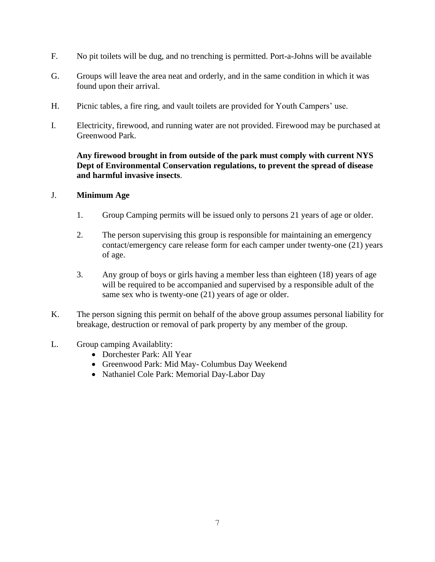- F. No pit toilets will be dug, and no trenching is permitted. Port-a-Johns will be available
- G. Groups will leave the area neat and orderly, and in the same condition in which it was found upon their arrival.
- H. Picnic tables, a fire ring, and vault toilets are provided for Youth Campers' use.
- I. Electricity, firewood, and running water are not provided. Firewood may be purchased at Greenwood Park.

# **Any firewood brought in from outside of the park must comply with current NYS Dept of Environmental Conservation regulations, to prevent the spread of disease and harmful invasive insects**.

# J. **Minimum Age**

- 1. Group Camping permits will be issued only to persons 21 years of age or older.
- 2. The person supervising this group is responsible for maintaining an emergency contact/emergency care release form for each camper under twenty-one (21) years of age.
- 3. Any group of boys or girls having a member less than eighteen (18) years of age will be required to be accompanied and supervised by a responsible adult of the same sex who is twenty-one (21) years of age or older.
- K. The person signing this permit on behalf of the above group assumes personal liability for breakage, destruction or removal of park property by any member of the group.

# L. Group camping Availablity:

- Dorchester Park: All Year
- Greenwood Park: Mid May- Columbus Day Weekend
- Nathaniel Cole Park: Memorial Day-Labor Day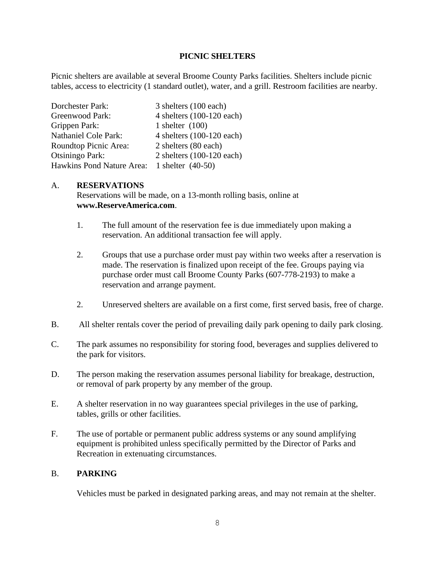### **PICNIC SHELTERS**

Picnic shelters are available at several Broome County Parks facilities. Shelters include picnic tables, access to electricity (1 standard outlet), water, and a grill. Restroom facilities are nearby.

| Dorchester Park:            | 3 shelters (100 each)     |
|-----------------------------|---------------------------|
| Greenwood Park:             | 4 shelters (100-120 each) |
| Grippen Park:               | 1 shelter $(100)$         |
| <b>Nathaniel Cole Park:</b> | 4 shelters (100-120 each) |
| Roundtop Picnic Area:       | 2 shelters (80 each)      |
| <b>Otsiningo Park:</b>      | 2 shelters (100-120 each) |
| Hawkins Pond Nature Area:   | 1 shelter $(40-50)$       |

### A. **RESERVATIONS**

Reservations will be made, on a 13-month rolling basis, online at **www.ReserveAmerica.com**.

- 1. The full amount of the reservation fee is due immediately upon making a reservation. An additional transaction fee will apply.
- 2. Groups that use a purchase order must pay within two weeks after a reservation is made. The reservation is finalized upon receipt of the fee. Groups paying via purchase order must call Broome County Parks (607-778-2193) to make a reservation and arrange payment.
- 2. Unreserved shelters are available on a first come, first served basis, free of charge.
- B. All shelter rentals cover the period of prevailing daily park opening to daily park closing.
- C. The park assumes no responsibility for storing food, beverages and supplies delivered to the park for visitors.
- D. The person making the reservation assumes personal liability for breakage, destruction, or removal of park property by any member of the group.
- E. A shelter reservation in no way guarantees special privileges in the use of parking, tables, grills or other facilities.
- F. The use of portable or permanent public address systems or any sound amplifying equipment is prohibited unless specifically permitted by the Director of Parks and Recreation in extenuating circumstances.

#### B. **PARKING**

Vehicles must be parked in designated parking areas, and may not remain at the shelter.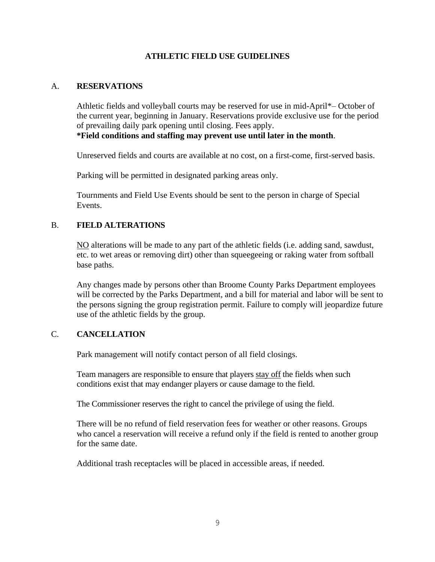# **ATHLETIC FIELD USE GUIDELINES**

### A. **RESERVATIONS**

Athletic fields and volleyball courts may be reserved for use in mid-April\*– October of the current year, beginning in January. Reservations provide exclusive use for the period of prevailing daily park opening until closing. Fees apply.

**\*Field conditions and staffing may prevent use until later in the month**.

Unreserved fields and courts are available at no cost, on a first-come, first-served basis.

Parking will be permitted in designated parking areas only.

Tournments and Field Use Events should be sent to the person in charge of Special Events.

### B. **FIELD ALTERATIONS**

NO alterations will be made to any part of the athletic fields (i.e. adding sand, sawdust, etc. to wet areas or removing dirt) other than squeegeeing or raking water from softball base paths.

Any changes made by persons other than Broome County Parks Department employees will be corrected by the Parks Department, and a bill for material and labor will be sent to the persons signing the group registration permit. Failure to comply will jeopardize future use of the athletic fields by the group.

### C. **CANCELLATION**

Park management will notify contact person of all field closings.

Team managers are responsible to ensure that players stay off the fields when such conditions exist that may endanger players or cause damage to the field.

The Commissioner reserves the right to cancel the privilege of using the field.

There will be no refund of field reservation fees for weather or other reasons. Groups who cancel a reservation will receive a refund only if the field is rented to another group for the same date.

Additional trash receptacles will be placed in accessible areas, if needed.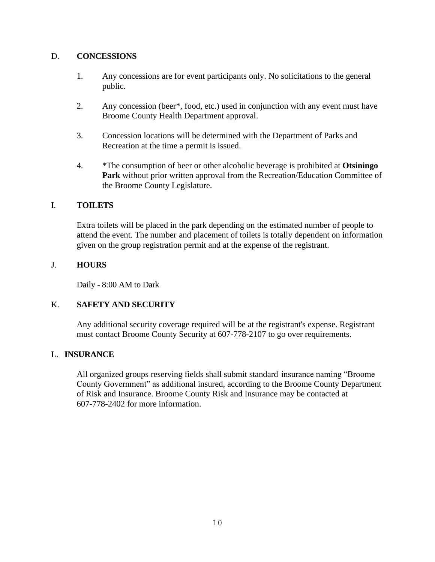# D. **CONCESSIONS**

- 1. Any concessions are for event participants only. No solicitations to the general public.
- 2. Any concession (beer\*, food, etc.) used in conjunction with any event must have Broome County Health Department approval.
- 3. Concession locations will be determined with the Department of Parks and Recreation at the time a permit is issued.
- 4. \*The consumption of beer or other alcoholic beverage is prohibited at **Otsiningo Park** without prior written approval from the Recreation/Education Committee of the Broome County Legislature.

### I. **TOILETS**

Extra toilets will be placed in the park depending on the estimated number of people to attend the event. The number and placement of toilets is totally dependent on information given on the group registration permit and at the expense of the registrant.

# J. **HOURS**

Daily - 8:00 AM to Dark

# K. **SAFETY AND SECURITY**

Any additional security coverage required will be at the registrant's expense. Registrant must contact Broome County Security at 607-778-2107 to go over requirements.

### L. **INSURANCE**

All organized groups reserving fields shall submit standard insurance naming "Broome County Government" as additional insured, according to the Broome County Department of Risk and Insurance. Broome County Risk and Insurance may be contacted at 607-778-2402 for more information.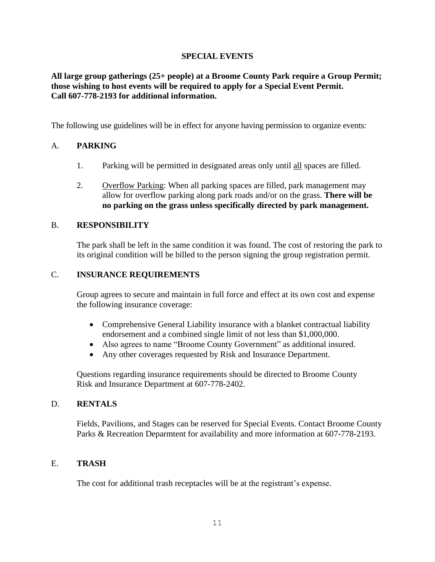# **SPECIAL EVENTS**

# **All large group gatherings (25+ people) at a Broome County Park require a Group Permit; those wishing to host events will be required to apply for a Special Event Permit. Call 607-778-2193 for additional information.**

The following use guidelines will be in effect for anyone having permission to organize events:

# A. **PARKING**

- 1. Parking will be permitted in designated areas only until all spaces are filled.
- 2. Overflow Parking: When all parking spaces are filled, park management may allow for overflow parking along park roads and/or on the grass. **There will be no parking on the grass unless specifically directed by park management.**

### B. **RESPONSIBILITY**

The park shall be left in the same condition it was found. The cost of restoring the park to its original condition will be billed to the person signing the group registration permit.

### C. **INSURANCE REQUIREMENTS**

Group agrees to secure and maintain in full force and effect at its own cost and expense the following insurance coverage:

- Comprehensive General Liability insurance with a blanket contractual liability endorsement and a combined single limit of not less than \$1,000,000.
- Also agrees to name "Broome County Government" as additional insured.
- Any other coverages requested by Risk and Insurance Department.

Questions regarding insurance requirements should be directed to Broome County Risk and Insurance Department at 607-778-2402.

### D. **RENTALS**

Fields, Pavilions, and Stages can be reserved for Special Events. Contact Broome County Parks & Recreation Deparmtent for availability and more information at 607-778-2193.

### E. **TRASH**

The cost for additional trash receptacles will be at the registrant's expense.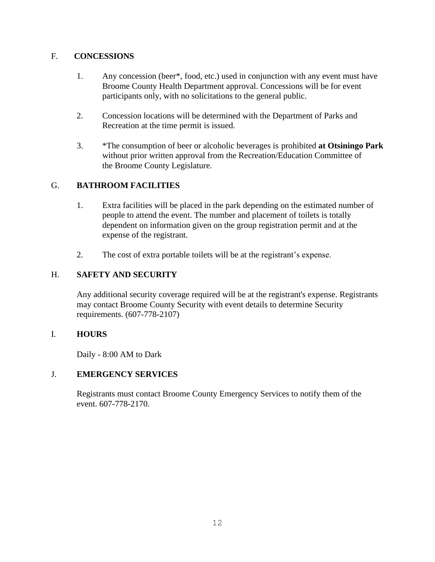# F. **CONCESSIONS**

- 1. Any concession (beer\*, food, etc.) used in conjunction with any event must have Broome County Health Department approval. Concessions will be for event participants only, with no solicitations to the general public.
- 2. Concession locations will be determined with the Department of Parks and Recreation at the time permit is issued.
- 3. \*The consumption of beer or alcoholic beverages is prohibited **at Otsiningo Park** without prior written approval from the Recreation/Education Committee of the Broome County Legislature.

# G. **BATHROOM FACILITIES**

- 1. Extra facilities will be placed in the park depending on the estimated number of people to attend the event. The number and placement of toilets is totally dependent on information given on the group registration permit and at the expense of the registrant.
- 2. The cost of extra portable toilets will be at the registrant's expense.

# H. **SAFETY AND SECURITY**

Any additional security coverage required will be at the registrant's expense. Registrants may contact Broome County Security with event details to determine Security requirements. (607-778-2107)

# I. **HOURS**

Daily - 8:00 AM to Dark

# J. **EMERGENCY SERVICES**

Registrants must contact Broome County Emergency Services to notify them of the event. 607-778-2170.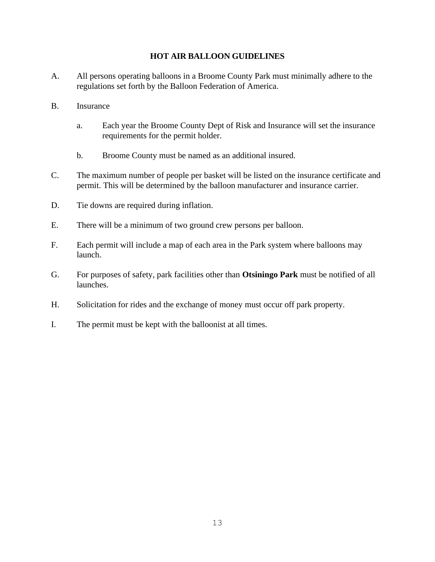# **HOT AIR BALLOON GUIDELINES**

- A. All persons operating balloons in a Broome County Park must minimally adhere to the regulations set forth by the Balloon Federation of America.
- B. Insurance
	- a. Each year the Broome County Dept of Risk and Insurance will set the insurance requirements for the permit holder.
	- b. Broome County must be named as an additional insured.
- C. The maximum number of people per basket will be listed on the insurance certificate and permit. This will be determined by the balloon manufacturer and insurance carrier.
- D. Tie downs are required during inflation.
- E. There will be a minimum of two ground crew persons per balloon.
- F. Each permit will include a map of each area in the Park system where balloons may launch.
- G. For purposes of safety, park facilities other than **Otsiningo Park** must be notified of all launches.
- H. Solicitation for rides and the exchange of money must occur off park property.
- I. The permit must be kept with the balloonist at all times.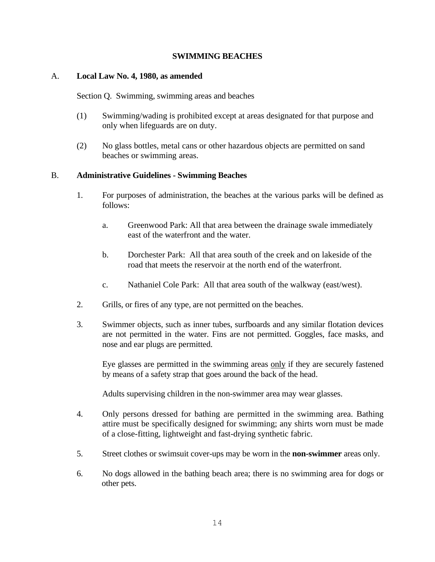### **SWIMMING BEACHES**

### A. **Local Law No. 4, 1980, as amended**

Section Q. Swimming, swimming areas and beaches

- (1) Swimming/wading is prohibited except at areas designated for that purpose and only when lifeguards are on duty.
- (2) No glass bottles, metal cans or other hazardous objects are permitted on sand beaches or swimming areas.

# B. **Administrative Guidelines - Swimming Beaches**

- 1. For purposes of administration, the beaches at the various parks will be defined as follows:
	- a. Greenwood Park: All that area between the drainage swale immediately east of the waterfront and the water.
	- b. Dorchester Park: All that area south of the creek and on lakeside of the road that meets the reservoir at the north end of the waterfront.
	- c. Nathaniel Cole Park: All that area south of the walkway (east/west).
- 2. Grills, or fires of any type, are not permitted on the beaches.
- 3. Swimmer objects, such as inner tubes, surfboards and any similar flotation devices are not permitted in the water. Fins are not permitted. Goggles, face masks, and nose and ear plugs are permitted.

 Eye glasses are permitted in the swimming areas only if they are securely fastened by means of a safety strap that goes around the back of the head.

Adults supervising children in the non-swimmer area may wear glasses.

- 4. Only persons dressed for bathing are permitted in the swimming area. Bathing attire must be specifically designed for swimming; any shirts worn must be made of a close-fitting, lightweight and fast-drying synthetic fabric.
- 5. Street clothes or swimsuit cover-ups may be worn in the **non-swimmer** areas only.
- 6. No dogs allowed in the bathing beach area; there is no swimming area for dogs or other pets.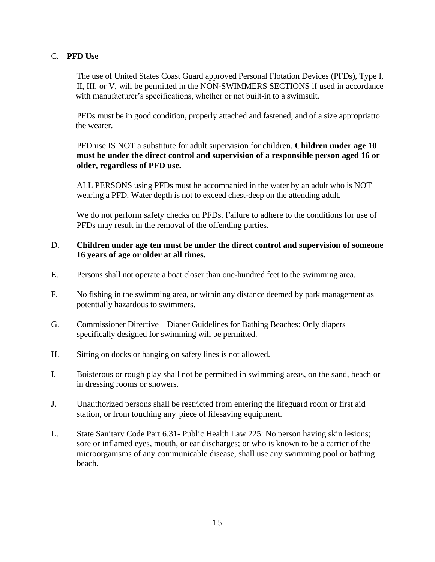# C. **PFD Use**

The use of United States Coast Guard approved Personal Flotation Devices (PFDs), Type I, II, III, or V, will be permitted in the NON-SWIMMERS SECTIONS if used in accordance with manufacturer's specifications, whether or not built-in to a swimsuit.

PFDs must be in good condition, properly attached and fastened, and of a size appropriatto the wearer.

 PFD use IS NOT a substitute for adult supervision for children. **Children under age 10 must be under the direct control and supervision of a responsible person aged 16 or older, regardless of PFD use.**

ALL PERSONS using PFDs must be accompanied in the water by an adult who is NOT wearing a PFD. Water depth is not to exceed chest-deep on the attending adult.

We do not perform safety checks on PFDs. Failure to adhere to the conditions for use of PFDs may result in the removal of the offending parties.

### D. **Children under age ten must be under the direct control and supervision of someone 16 years of age or older at all times.**

- E. Persons shall not operate a boat closer than one-hundred feet to the swimming area.
- F. No fishing in the swimming area, or within any distance deemed by park management as potentially hazardous to swimmers.
- G. Commissioner Directive Diaper Guidelines for Bathing Beaches: Only diapers specifically designed for swimming will be permitted.
- H. Sitting on docks or hanging on safety lines is not allowed.
- I. Boisterous or rough play shall not be permitted in swimming areas, on the sand, beach or in dressing rooms or showers.
- J. Unauthorized persons shall be restricted from entering the lifeguard room or first aid station, or from touching any piece of lifesaving equipment.
- L. State Sanitary Code Part 6.31- Public Health Law 225: No person having skin lesions; sore or inflamed eyes, mouth, or ear discharges; or who is known to be a carrier of the microorganisms of any communicable disease, shall use any swimming pool or bathing beach.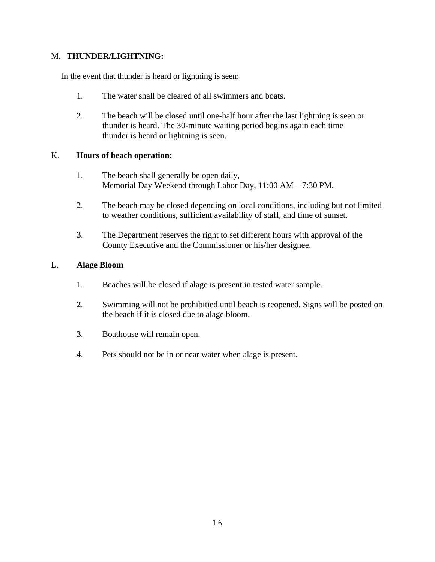# M. **THUNDER/LIGHTNING:**

In the event that thunder is heard or lightning is seen:

- 1. The water shall be cleared of all swimmers and boats.
- 2. The beach will be closed until one-half hour after the last lightning is seen or thunder is heard. The 30-minute waiting period begins again each time thunder is heard or lightning is seen.

### K. **Hours of beach operation:**

- 1. The beach shall generally be open daily, Memorial Day Weekend through Labor Day, 11:00 AM – 7:30 PM.
- 2. The beach may be closed depending on local conditions, including but not limited to weather conditions, sufficient availability of staff, and time of sunset.
- 3. The Department reserves the right to set different hours with approval of the County Executive and the Commissioner or his/her designee.

### L. **Alage Bloom**

- 1. Beaches will be closed if alage is present in tested water sample.
- 2. Swimming will not be prohibitied until beach is reopened. Signs will be posted on the beach if it is closed due to alage bloom.
- 3. Boathouse will remain open.
- 4. Pets should not be in or near water when alage is present.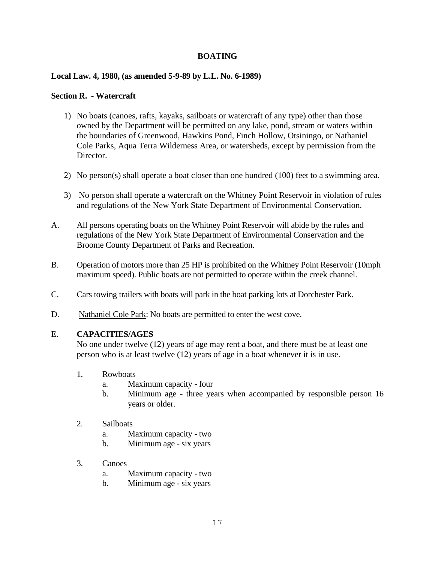# **BOATING**

### **Local Law. 4, 1980, (as amended 5-9-89 by L.L. No. 6-1989)**

### **Section R. - Watercraft**

- 1) No boats (canoes, rafts, kayaks, sailboats or watercraft of any type) other than those owned by the Department will be permitted on any lake, pond, stream or waters within the boundaries of Greenwood, Hawkins Pond, Finch Hollow, Otsiningo, or Nathaniel Cole Parks, Aqua Terra Wilderness Area, or watersheds, except by permission from the Director.
- 2) No person(s) shall operate a boat closer than one hundred (100) feet to a swimming area.
- 3) No person shall operate a watercraft on the Whitney Point Reservoir in violation of rules and regulations of the New York State Department of Environmental Conservation.
- A. All persons operating boats on the Whitney Point Reservoir will abide by the rules and regulations of the New York State Department of Environmental Conservation and the Broome County Department of Parks and Recreation.
- B. Operation of motors more than 25 HP is prohibited on the Whitney Point Reservoir (10mph maximum speed). Public boats are not permitted to operate within the creek channel.
- C. Cars towing trailers with boats will park in the boat parking lots at Dorchester Park.
- D. Nathaniel Cole Park: No boats are permitted to enter the west cove.

### E. **CAPACITIES/AGES**

 No one under twelve (12) years of age may rent a boat, and there must be at least one person who is at least twelve (12) years of age in a boat whenever it is in use.

- 1. Rowboats
	- a. Maximum capacity four
	- b. Minimum age three years when accompanied by responsible person 16 years or older.
- 2. Sailboats
	- a. Maximum capacity two
	- b. Minimum age six years
- 3. Canoes
	- a. Maximum capacity two
	- b. Minimum age six years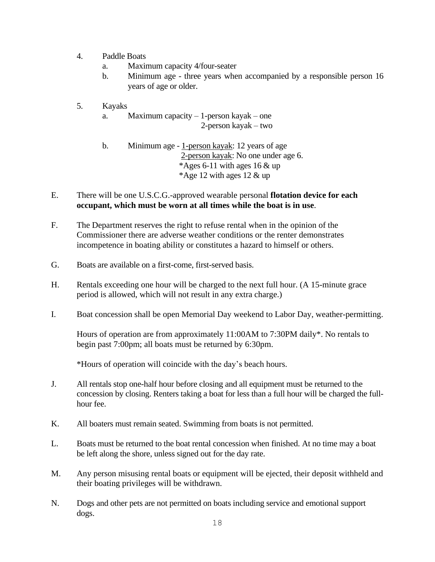- 4. Paddle Boats
	- a. Maximum capacity 4/four-seater
	- b. Minimum age three years when accompanied by a responsible person 16 years of age or older.
- 5. Kayaks
	- a. Maximum capacity 1-person kayak one 2-person kayak – two

b. Minimum age - 1-person kayak: 12 years of age 2-person kayak: No one under age 6. \*Ages 6-11 with ages 16 & up \*Age 12 with ages 12  $\&$  up

# E. There will be one U.S.C.G.-approved wearable personal **flotation device for each occupant, which must be worn at all times while the boat is in use**.

- F. The Department reserves the right to refuse rental when in the opinion of the Commissioner there are adverse weather conditions or the renter demonstrates incompetence in boating ability or constitutes a hazard to himself or others.
- G. Boats are available on a first-come, first-served basis.
- H. Rentals exceeding one hour will be charged to the next full hour. (A 15-minute grace period is allowed, which will not result in any extra charge.)
- I. Boat concession shall be open Memorial Day weekend to Labor Day, weather-permitting.

Hours of operation are from approximately 11:00AM to 7:30PM daily\*. No rentals to begin past 7:00pm; all boats must be returned by 6:30pm.

\*Hours of operation will coincide with the day's beach hours.

- J. All rentals stop one-half hour before closing and all equipment must be returned to the concession by closing. Renters taking a boat for less than a full hour will be charged the fullhour fee.
- K. All boaters must remain seated. Swimming from boats is not permitted.
- L. Boats must be returned to the boat rental concession when finished. At no time may a boat be left along the shore, unless signed out for the day rate.
- M. Any person misusing rental boats or equipment will be ejected, their deposit withheld and their boating privileges will be withdrawn.
- N. Dogs and other pets are not permitted on boats including service and emotional support dogs.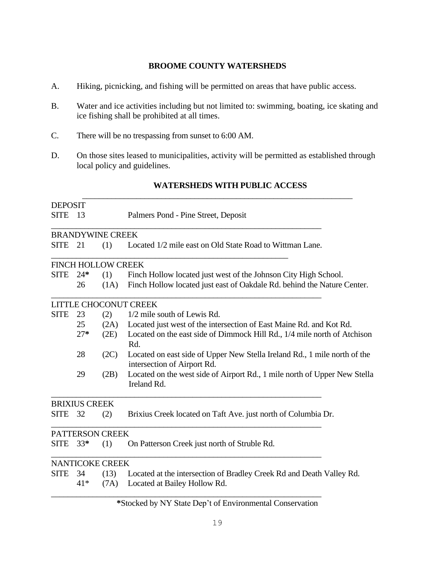### **BROOME COUNTY WATERSHEDS**

- A. Hiking, picnicking, and fishing will be permitted on areas that have public access.
- B. Water and ice activities including but not limited to: swimming, boating, ice skating and ice fishing shall be prohibited at all times.
- C. There will be no trespassing from sunset to 6:00 AM.
- D. On those sites leased to municipalities, activity will be permitted as established through local policy and guidelines.

\_\_\_\_\_\_\_\_\_\_\_\_\_\_\_\_\_\_\_\_\_\_\_\_\_\_\_\_\_\_\_\_\_\_\_\_\_\_\_\_\_\_\_\_\_\_\_\_\_\_\_\_\_\_\_\_\_\_\_\_\_\_\_\_\_

# **WATERSHEDS WITH PUBLIC ACCESS**

| <b>DEPOSIT</b> |                      |                           |                                                                                                          |  |  |
|----------------|----------------------|---------------------------|----------------------------------------------------------------------------------------------------------|--|--|
| <b>SITE</b>    | - 13                 |                           | Palmers Pond - Pine Street, Deposit                                                                      |  |  |
|                |                      | <b>BRANDYWINE CREEK</b>   |                                                                                                          |  |  |
| <b>SITE</b>    | 21                   | (1)                       | Located 1/2 mile east on Old State Road to Wittman Lane.                                                 |  |  |
|                |                      | <b>FINCH HOLLOW CREEK</b> |                                                                                                          |  |  |
| <b>SITE</b>    | $24*$                | (1)                       | Finch Hollow located just west of the Johnson City High School.                                          |  |  |
|                | 26                   | (1A)                      | Finch Hollow located just east of Oakdale Rd. behind the Nature Center.                                  |  |  |
|                |                      |                           | LITTLE CHOCONUT CREEK                                                                                    |  |  |
| <b>SITE</b>    | 23                   | (2)                       | 1/2 mile south of Lewis Rd.                                                                              |  |  |
|                | 25                   | (2A)                      | Located just west of the intersection of East Maine Rd. and Kot Rd.                                      |  |  |
|                | $27*$                | (2E)                      | Located on the east side of Dimmock Hill Rd., 1/4 mile north of Atchison<br>Rd.                          |  |  |
|                | 28                   | (2C)                      | Located on east side of Upper New Stella Ireland Rd., 1 mile north of the<br>intersection of Airport Rd. |  |  |
|                | 29                   | (2B)                      | Located on the west side of Airport Rd., 1 mile north of Upper New Stella<br>Ireland Rd.                 |  |  |
|                | <b>BRIXIUS CREEK</b> |                           |                                                                                                          |  |  |
| <b>SITE</b>    | 32                   | (2)                       | Brixius Creek located on Taft Ave. just north of Columbia Dr.                                            |  |  |
|                |                      | <b>PATTERSON CREEK</b>    |                                                                                                          |  |  |
| <b>SITE</b>    | $33*$                | (1)                       | On Patterson Creek just north of Struble Rd.                                                             |  |  |
|                |                      | <b>NANTICOKE CREEK</b>    |                                                                                                          |  |  |
| <b>SITE</b>    | 34                   | (13)                      | Located at the intersection of Bradley Creek Rd and Death Valley Rd.                                     |  |  |
|                | $41*$                | (7A)                      | Located at Bailey Hollow Rd.                                                                             |  |  |
|                |                      |                           |                                                                                                          |  |  |

# **\***Stocked by NY State Dep't of Environmental Conservation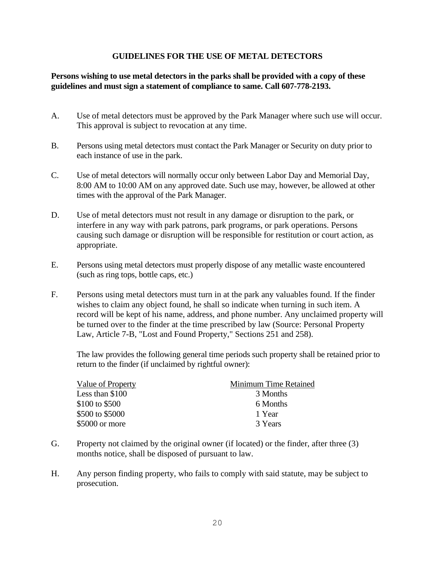# **GUIDELINES FOR THE USE OF METAL DETECTORS**

# **Persons wishing to use metal detectors in the parks shall be provided with a copy of these guidelines and must sign a statement of compliance to same. Call 607-778-2193.**

- A. Use of metal detectors must be approved by the Park Manager where such use will occur. This approval is subject to revocation at any time.
- B. Persons using metal detectors must contact the Park Manager or Security on duty prior to each instance of use in the park.
- C. Use of metal detectors will normally occur only between Labor Day and Memorial Day, 8:00 AM to 10:00 AM on any approved date. Such use may, however, be allowed at other times with the approval of the Park Manager.
- D. Use of metal detectors must not result in any damage or disruption to the park, or interfere in any way with park patrons, park programs, or park operations. Persons causing such damage or disruption will be responsible for restitution or court action, as appropriate.
- E. Persons using metal detectors must properly dispose of any metallic waste encountered (such as ring tops, bottle caps, etc.)
- F. Persons using metal detectors must turn in at the park any valuables found. If the finder wishes to claim any object found, he shall so indicate when turning in such item. A record will be kept of his name, address, and phone number. Any unclaimed property will be turned over to the finder at the time prescribed by law (Source: Personal Property Law, Article 7-B, "Lost and Found Property," Sections 251 and 258).

The law provides the following general time periods such property shall be retained prior to return to the finder (if unclaimed by rightful owner):

| Value of Property | Minimum Time Retained |
|-------------------|-----------------------|
| Less than \$100   | 3 Months              |
| \$100 to \$500    | 6 Months              |
| \$500 to \$5000   | 1 Year                |
| \$5000 or more    | 3 Years               |

- G. Property not claimed by the original owner (if located) or the finder, after three (3) months notice, shall be disposed of pursuant to law.
- H. Any person finding property, who fails to comply with said statute, may be subject to prosecution.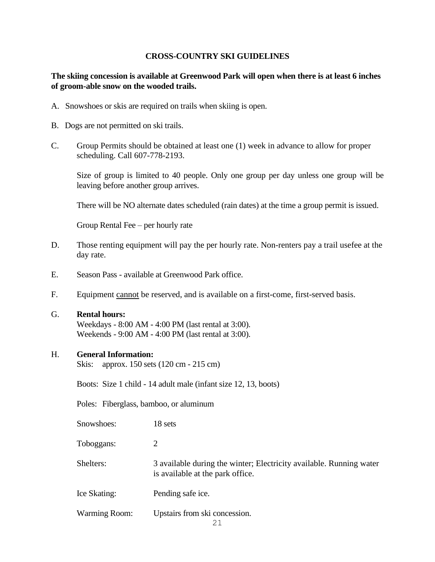# **CROSS-COUNTRY SKI GUIDELINES**

# **The skiing concession is available at Greenwood Park will open when there is at least 6 inches of groom-able snow on the wooded trails.**

- A. Snowshoes or skis are required on trails when skiing is open.
- B. Dogs are not permitted on ski trails.
- C. Group Permits should be obtained at least one (1) week in advance to allow for proper scheduling. Call 607-778-2193.

 Size of group is limited to 40 people. Only one group per day unless one group will be leaving before another group arrives.

There will be NO alternate dates scheduled (rain dates) at the time a group permit is issued.

Group Rental Fee – per hourly rate

- D. Those renting equipment will pay the per hourly rate. Non-renters pay a trail usefee at the day rate.
- E. Season Pass available at Greenwood Park office.
- F. Equipment cannot be reserved, and is available on a first-come, first-served basis.
- G. **Rental hours:**

Weekdays - 8:00 AM - 4:00 PM (last rental at 3:00). Weekends - 9:00 AM - 4:00 PM (last rental at 3:00).

#### H. **General Information:**

Skis: approx. 150 sets (120 cm - 215 cm)

Boots: Size 1 child - 14 adult male (infant size 12, 13, boots)

Poles: Fiberglass, bamboo, or aluminum

| Snowshoes:           | 18 sets                                                                                                 |
|----------------------|---------------------------------------------------------------------------------------------------------|
| Toboggans:           |                                                                                                         |
| Shelters:            | 3 available during the winter; Electricity available. Running water<br>is available at the park office. |
| Ice Skating:         | Pending safe ice.                                                                                       |
| <b>Warming Room:</b> | Upstairs from ski concession.                                                                           |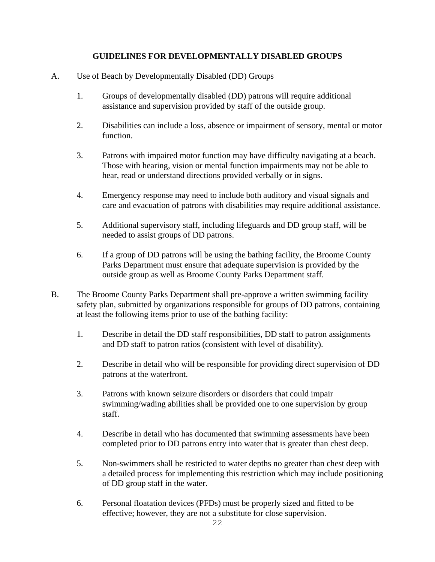# **GUIDELINES FOR DEVELOPMENTALLY DISABLED GROUPS**

- A. Use of Beach by Developmentally Disabled (DD) Groups
	- 1. Groups of developmentally disabled (DD) patrons will require additional assistance and supervision provided by staff of the outside group.
	- 2. Disabilities can include a loss, absence or impairment of sensory, mental or motor function.
	- 3. Patrons with impaired motor function may have difficulty navigating at a beach. Those with hearing, vision or mental function impairments may not be able to hear, read or understand directions provided verbally or in signs.
	- 4. Emergency response may need to include both auditory and visual signals and care and evacuation of patrons with disabilities may require additional assistance.
	- 5. Additional supervisory staff, including lifeguards and DD group staff, will be needed to assist groups of DD patrons.
	- 6. If a group of DD patrons will be using the bathing facility, the Broome County Parks Department must ensure that adequate supervision is provided by the outside group as well as Broome County Parks Department staff.
- B. The Broome County Parks Department shall pre-approve a written swimming facility safety plan, submitted by organizations responsible for groups of DD patrons, containing at least the following items prior to use of the bathing facility:
	- 1. Describe in detail the DD staff responsibilities, DD staff to patron assignments and DD staff to patron ratios (consistent with level of disability).
	- 2. Describe in detail who will be responsible for providing direct supervision of DD patrons at the waterfront.
	- 3. Patrons with known seizure disorders or disorders that could impair swimming/wading abilities shall be provided one to one supervision by group staff.
	- 4. Describe in detail who has documented that swimming assessments have been completed prior to DD patrons entry into water that is greater than chest deep.
	- 5. Non-swimmers shall be restricted to water depths no greater than chest deep with a detailed process for implementing this restriction which may include positioning of DD group staff in the water.
	- 6. Personal floatation devices (PFDs) must be properly sized and fitted to be effective; however, they are not a substitute for close supervision.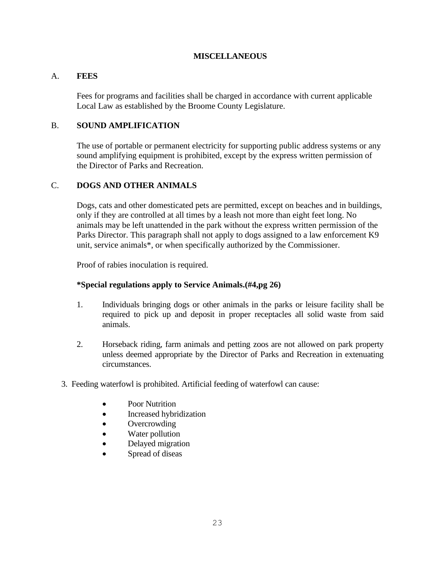# **MISCELLANEOUS**

# A. **FEES**

Fees for programs and facilities shall be charged in accordance with current applicable Local Law as established by the Broome County Legislature.

# B. **SOUND AMPLIFICATION**

The use of portable or permanent electricity for supporting public address systems or any sound amplifying equipment is prohibited, except by the express written permission of the Director of Parks and Recreation.

# C. **DOGS AND OTHER ANIMALS**

Dogs, cats and other domesticated pets are permitted, except on beaches and in buildings, only if they are controlled at all times by a leash not more than eight feet long. No animals may be left unattended in the park without the express written permission of the Parks Director. This paragraph shall not apply to dogs assigned to a law enforcement K9 unit, service animals\*, or when specifically authorized by the Commissioner.

Proof of rabies inoculation is required.

### **\*Special regulations apply to Service Animals.(#4,pg 26)**

- 1. Individuals bringing dogs or other animals in the parks or leisure facility shall be required to pick up and deposit in proper receptacles all solid waste from said animals.
- 2. Horseback riding, farm animals and petting zoos are not allowed on park property unless deemed appropriate by the Director of Parks and Recreation in extenuating circumstances.
- 3. Feeding waterfowl is prohibited. Artificial feeding of waterfowl can cause:
	- Poor Nutrition
	- Increased hybridization
	- Overcrowding
	- Water pollution
	- Delayed migration
	- Spread of diseas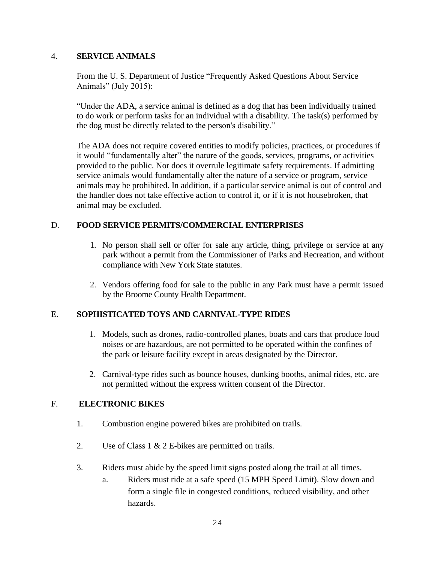# 4. **SERVICE ANIMALS**

 From the U. S. Department of Justice "Frequently Asked Questions About Service Animals" (July 2015):

"Under the ADA, a service animal is defined as a dog that has been individually trained to do work or perform tasks for an individual with a disability. The task(s) performed by the dog must be directly related to the person's disability."

The ADA does not require covered entities to modify policies, practices, or procedures if it would "fundamentally alter" the nature of the goods, services, programs, or activities provided to the public. Nor does it overrule legitimate safety requirements. If admitting service animals would fundamentally alter the nature of a service or program, service animals may be prohibited. In addition, if a particular service animal is out of control and the handler does not take effective action to control it, or if it is not housebroken, that animal may be excluded.

# D. **FOOD SERVICE PERMITS/COMMERCIAL ENTERPRISES**

- 1. No person shall sell or offer for sale any article, thing, privilege or service at any park without a permit from the Commissioner of Parks and Recreation, and without compliance with New York State statutes.
- 2. Vendors offering food for sale to the public in any Park must have a permit issued by the Broome County Health Department.

# E. **SOPHISTICATED TOYS AND CARNIVAL-TYPE RIDES**

- 1. Models, such as drones, radio-controlled planes, boats and cars that produce loud noises or are hazardous, are not permitted to be operated within the confines of the park or leisure facility except in areas designated by the Director.
- 2. Carnival-type rides such as bounce houses, dunking booths, animal rides, etc. are not permitted without the express written consent of the Director.

### F. **ELECTRONIC BIKES**

- 1. Combustion engine powered bikes are prohibited on trails.
- 2. Use of Class 1 & 2 E-bikes are permitted on trails.
- 3. Riders must abide by the speed limit signs posted along the trail at all times.
	- a. Riders must ride at a safe speed (15 MPH Speed Limit). Slow down and form a single file in congested conditions, reduced visibility, and other hazards.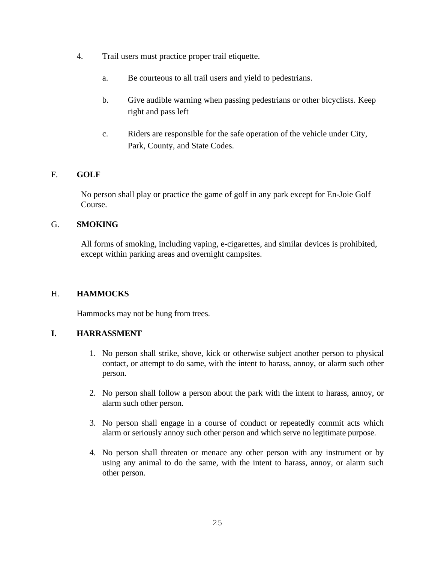- 4. Trail users must practice proper trail etiquette.
	- a. Be courteous to all trail users and yield to pedestrians.
	- b. Give audible warning when passing pedestrians or other bicyclists. Keep right and pass left
	- c. Riders are responsible for the safe operation of the vehicle under City, Park, County, and State Codes.

# F. **GOLF**

 No person shall play or practice the game of golf in any park except for En-Joie Golf Course.

### G. **SMOKING**

 All forms of smoking, including vaping, e-cigarettes, and similar devices is prohibited, except within parking areas and overnight campsites.

### H. **HAMMOCKS**

Hammocks may not be hung from trees.

# **I. HARRASSMENT**

- 1. No person shall strike, shove, kick or otherwise subject another person to physical contact, or attempt to do same, with the intent to harass, annoy, or alarm such other person.
- 2. No person shall follow a person about the park with the intent to harass, annoy, or alarm such other person.
- 3. No person shall engage in a course of conduct or repeatedly commit acts which alarm or seriously annoy such other person and which serve no legitimate purpose.
- 4. No person shall threaten or menace any other person with any instrument or by using any animal to do the same, with the intent to harass, annoy, or alarm such other person.